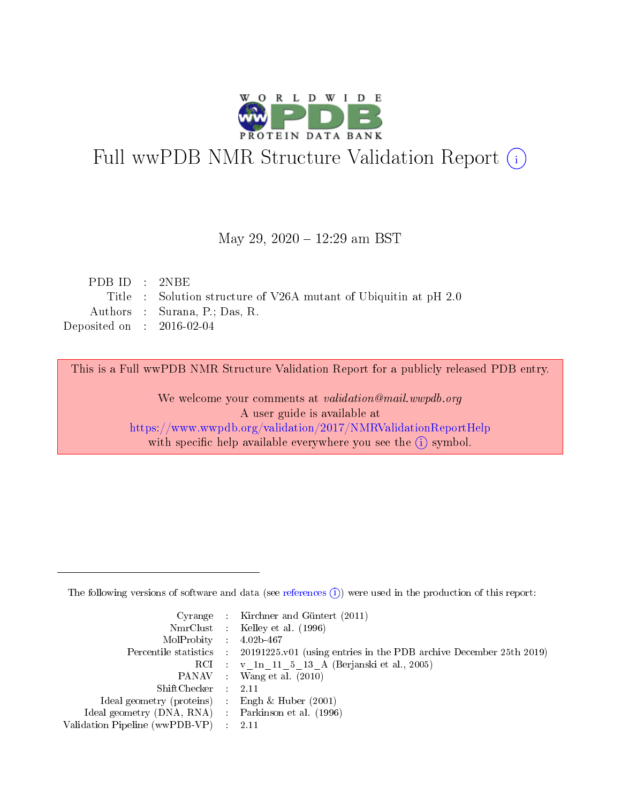

# Full wwPDB NMR Structure Validation Report (i)

May 29, 2020 - 12:29 am BST

| PDBID : 2NBE                |                                                                 |
|-----------------------------|-----------------------------------------------------------------|
|                             | Title: Solution structure of V26A mutant of Ubiquitin at pH 2.0 |
|                             | Authors : Surana, P.; Das, R.                                   |
| Deposited on : $2016-02-04$ |                                                                 |

This is a Full wwPDB NMR Structure Validation Report for a publicly released PDB entry.

We welcome your comments at validation@mail.wwpdb.org A user guide is available at <https://www.wwpdb.org/validation/2017/NMRValidationReportHelp> with specific help available everywhere you see the  $(i)$  symbol.

The following versions of software and data (see [references](https://www.wwpdb.org/validation/2017/NMRValidationReportHelp#references)  $(1)$ ) were used in the production of this report:

|                                                    | Cyrange : Kirchner and Güntert $(2011)$                                                    |
|----------------------------------------------------|--------------------------------------------------------------------------------------------|
|                                                    | NmrClust : Kelley et al. (1996)                                                            |
| $MolProbability$ 4.02b-467                         |                                                                                            |
|                                                    | Percentile statistics : 20191225.v01 (using entries in the PDB archive December 25th 2019) |
|                                                    | RCI : v 1n 11 5 13 A (Berjanski et al., 2005)                                              |
|                                                    | PANAV Wang et al. (2010)                                                                   |
| $ShiftChecker$ : 2.11                              |                                                                                            |
| Ideal geometry (proteins) : Engh $\&$ Huber (2001) |                                                                                            |
| Ideal geometry (DNA, RNA) Parkinson et al. (1996)  |                                                                                            |
| Validation Pipeline (wwPDB-VP)                     | 2.11                                                                                       |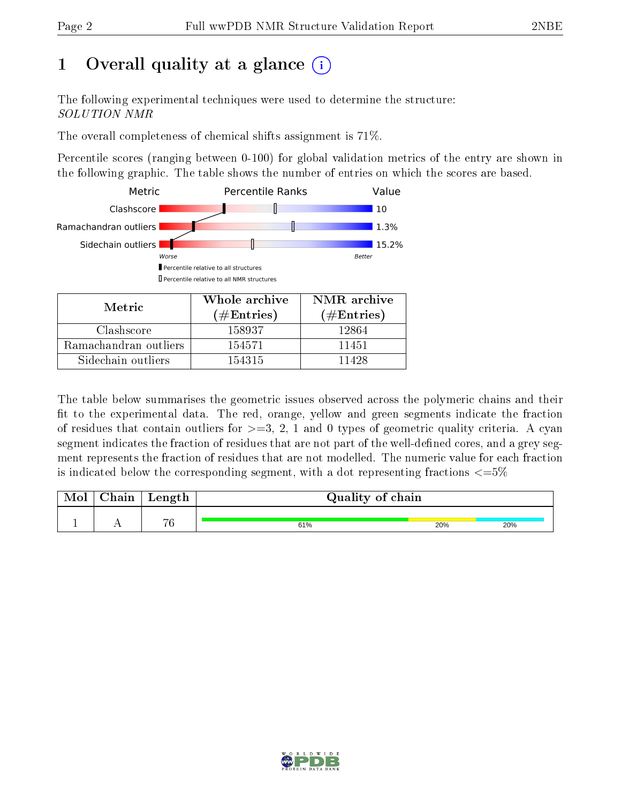## 1 [O](https://www.wwpdb.org/validation/2017/NMRValidationReportHelp#overall_quality)verall quality at a glance  $(i)$

The following experimental techniques were used to determine the structure: SOLUTION NMR

The overall completeness of chemical shifts assignment is 71%.

Percentile scores (ranging between 0-100) for global validation metrics of the entry are shown in the following graphic. The table shows the number of entries on which the scores are based.



| <b>NIETTIC</b>        | $(\#\text{Entries})$ | $(\#Entries)$ |
|-----------------------|----------------------|---------------|
| Clashscore            | 158937               | 12864         |
| Ramachandran outliers | 154571               | 11451         |
| Sidechain outliers    | 154315               | 11428         |

The table below summarises the geometric issues observed across the polymeric chains and their fit to the experimental data. The red, orange, yellow and green segments indicate the fraction of residues that contain outliers for  $>=3, 2, 1$  and 0 types of geometric quality criteria. A cyan segment indicates the fraction of residues that are not part of the well-defined cores, and a grey segment represents the fraction of residues that are not modelled. The numeric value for each fraction is indicated below the corresponding segment, with a dot representing fractions  $\epsilon = 5\%$ 

| Mol | ${\bf Chain}$ | Length | Quality of chain |     |     |  |
|-----|---------------|--------|------------------|-----|-----|--|
|     |               | 76     | 61%              | 20% | 20% |  |

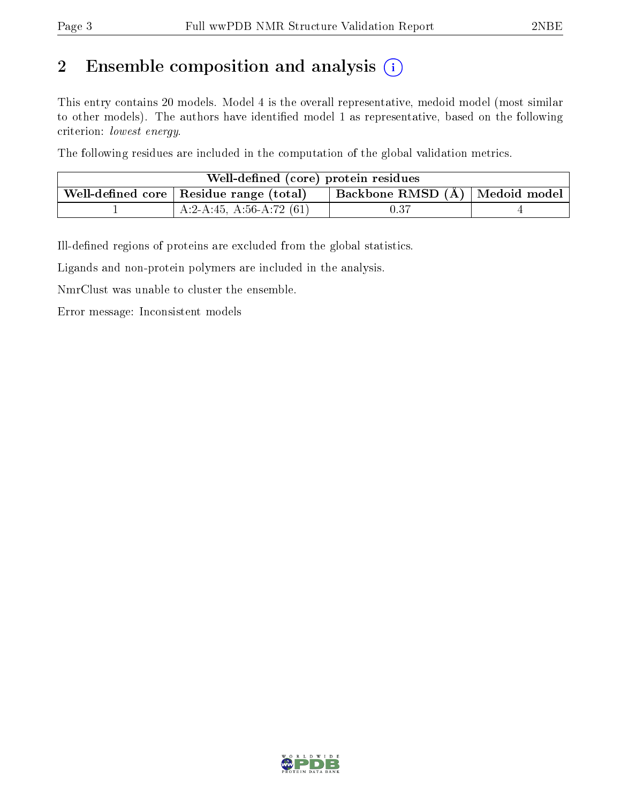## 2 Ensemble composition and analysis  $(i)$

This entry contains 20 models. Model 4 is the overall representative, medoid model (most similar to other models). The authors have identified model 1 as representative, based on the following criterion: lowest energy.

The following residues are included in the computation of the global validation metrics.

| Well-defined (core) protein residues                                                            |                            |          |  |  |  |  |
|-------------------------------------------------------------------------------------------------|----------------------------|----------|--|--|--|--|
| Backbone RMSD $(A)$   Medoid model  <br>. Well-defined core $\mid$ Residue range (total) $\mid$ |                            |          |  |  |  |  |
|                                                                                                 | A:2-A:45, A:56-A:72 $(61)$ | $0.37\,$ |  |  |  |  |

Ill-defined regions of proteins are excluded from the global statistics.

Ligands and non-protein polymers are included in the analysis.

NmrClust was unable to cluster the ensemble.

Error message: Inconsistent models

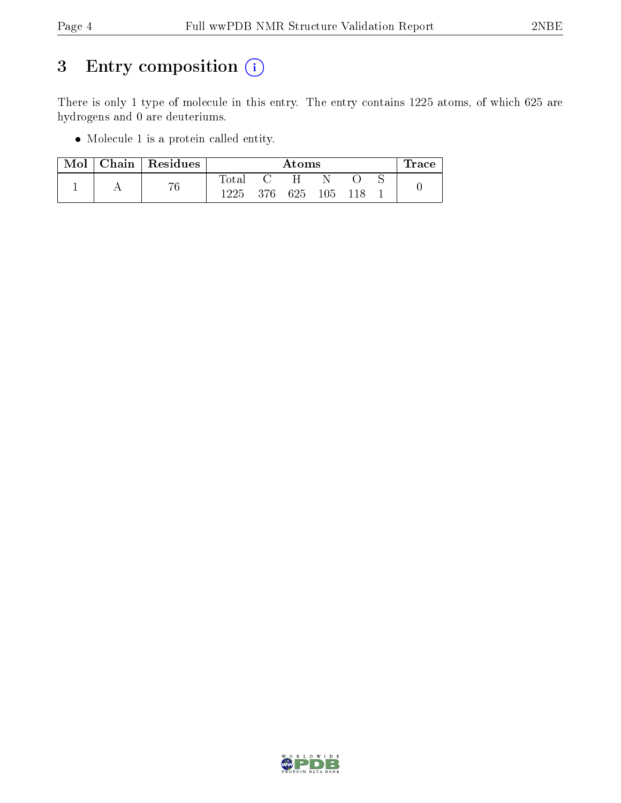## 3 Entry composition (i)

There is only 1 type of molecule in this entry. The entry contains 1225 atoms, of which 625 are hydrogens and 0 are deuteriums.

Molecule 1 is a protein called entity.

| Mol |    | Chain   $Residues$ |             | Atoms |       |  |  |  | race |
|-----|----|--------------------|-------------|-------|-------|--|--|--|------|
|     |    |                    | $\rm Total$ |       | H     |  |  |  |      |
|     | 76 | 1225               | - 376       | 625   | - 105 |  |  |  |      |

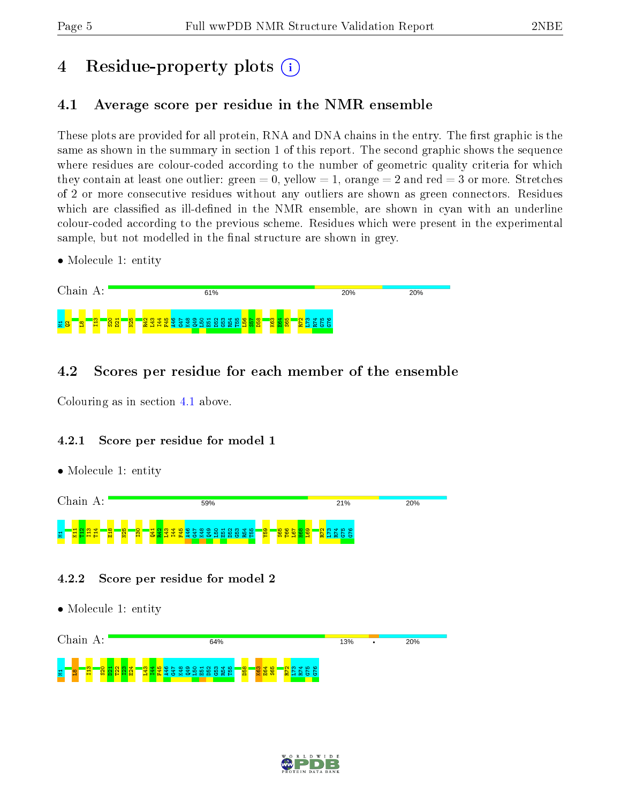## 4 Residue-property plots  $\binom{1}{1}$

## <span id="page-4-0"></span>4.1 Average score per residue in the NMR ensemble

These plots are provided for all protein, RNA and DNA chains in the entry. The first graphic is the same as shown in the summary in section 1 of this report. The second graphic shows the sequence where residues are colour-coded according to the number of geometric quality criteria for which they contain at least one outlier: green  $= 0$ , yellow  $= 1$ , orange  $= 2$  and red  $= 3$  or more. Stretches of 2 or more consecutive residues without any outliers are shown as green connectors. Residues which are classified as ill-defined in the NMR ensemble, are shown in cyan with an underline colour-coded according to the previous scheme. Residues which were present in the experimental sample, but not modelled in the final structure are shown in grey.

• Molecule 1: entity



### 4.2 Scores per residue for each member of the ensemble

Colouring as in section [4.1](#page-4-0) above.

#### 4.2.1 Score per residue for model 1

• Molecule 1: entity



#### 4.2.2 Score per residue for model 2



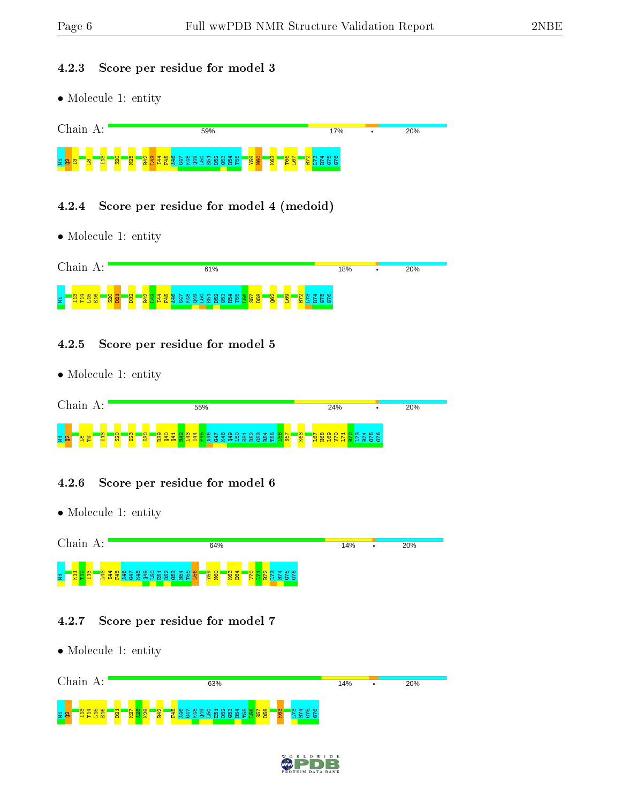#### 4.2.3 Score per residue for model 3

• Molecule 1: entity



#### 4.2.4 Score per residue for model 4 (medoid)

• Molecule 1: entity



#### 4.2.5 Score per residue for model 5

• Molecule 1: entity



#### 4.2.6 Score per residue for model 6

• Molecule 1: entity



#### 4.2.7 Score per residue for model 7

| Chain<br>A:                      | 63%                                             | 14% | ٠ | 20% |
|----------------------------------|-------------------------------------------------|-----|---|-----|
| 置<br>÷<br>H<br>$\mathbf{H}$<br>- | <b>igo</b><br>$\sim$<br>K63<br>m<br>$\sim$<br>÷ |     |   |     |

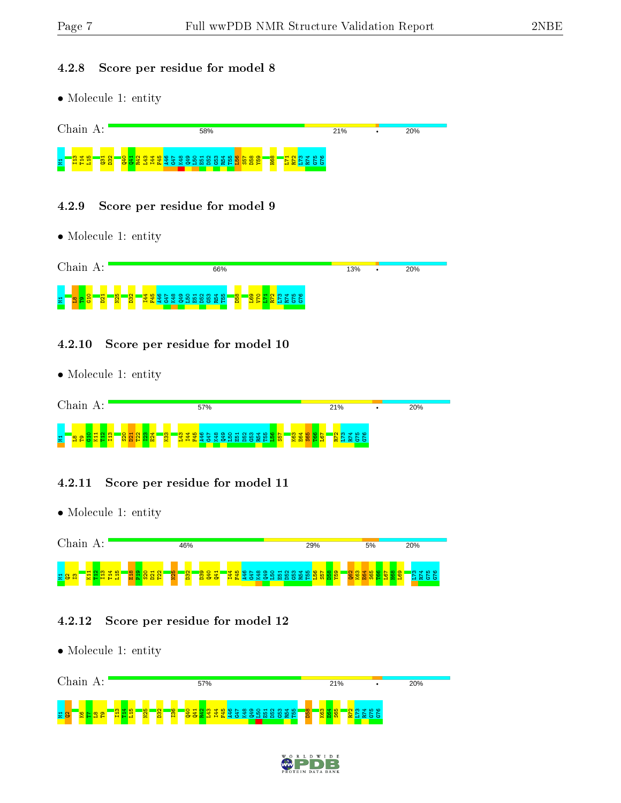#### 4.2.8 Score per residue for model 8

• Molecule 1: entity



#### 4.2.9 Score per residue for model 9

• Molecule 1: entity



#### 4.2.10 Score per residue for model 10

• Molecule 1: entity



#### 4.2.11 Score per residue for model 11

• Molecule 1: entity



#### 4.2.12 Score per residue for model 12



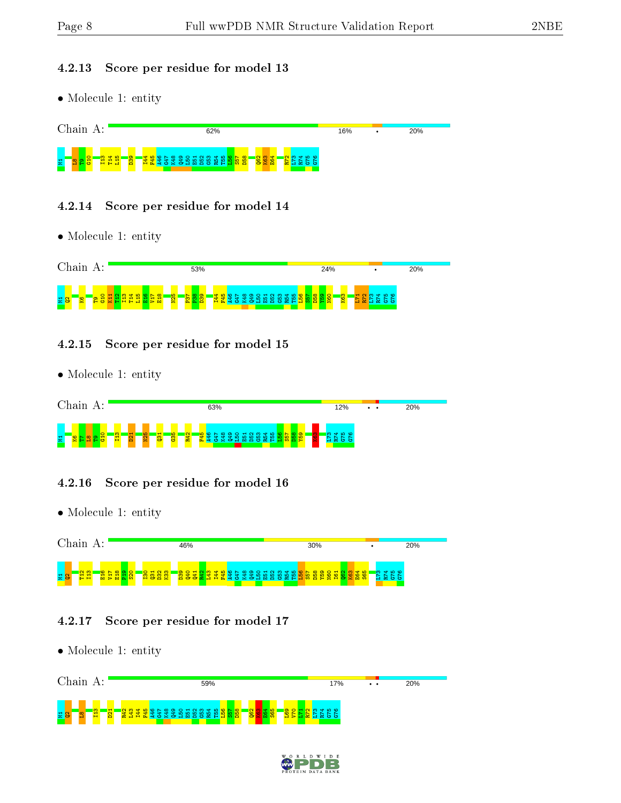#### 4.2.13 Score per residue for model 13

• Molecule 1: entity



#### 4.2.14 Score per residue for model 14

• Molecule 1: entity



#### 4.2.15 Score per residue for model 15

• Molecule 1: entity

| Chain<br>А:                       | 63%                                                                                                                                   | 12%       | $\cdot$ $\cdot$ | 20% |
|-----------------------------------|---------------------------------------------------------------------------------------------------------------------------------------|-----------|-----------------|-----|
| ത<br>星<br>ಀ<br>≃<br>−<br>. .<br>÷ | <b>I</b> Ω<br><b>B</b><br>$\overline{\phantom{0}}$<br><b>a</b><br>$\mathbf{C}$<br>œ<br>Ξ<br><b>START</b><br>$\approx$ $\pm$<br>ಲ<br>≏ | <b>KO</b> |                 |     |

#### 4.2.16 Score per residue for model 16

• Molecule 1: entity



#### 4.2.17 Score per residue for model 17



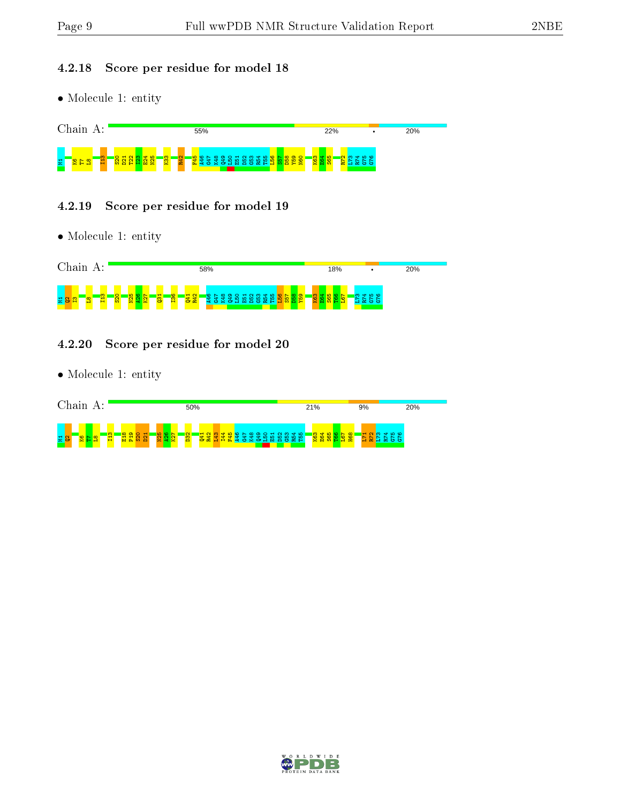#### 4.2.18 Score per residue for model 18

• Molecule 1: entity



#### 4.2.19 Score per residue for model 19

• Molecule 1: entity



#### 4.2.20 Score per residue for model 20



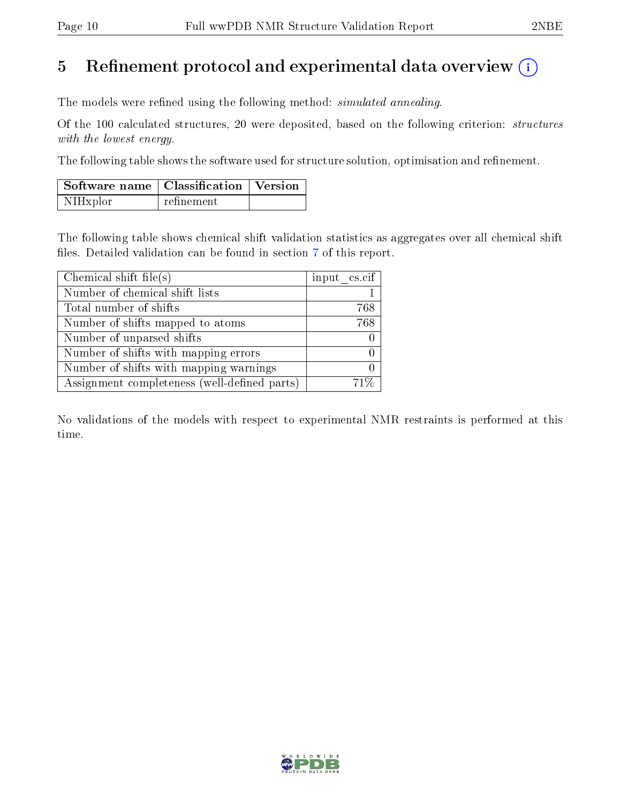## 5 Refinement protocol and experimental data overview  $\binom{1}{k}$

The models were refined using the following method: *simulated annealing*.

Of the 100 calculated structures, 20 were deposited, based on the following criterion: structures with the lowest energy.

The following table shows the software used for structure solution, optimisation and refinement.

| Software name   Classification   Version |            |  |
|------------------------------------------|------------|--|
| NIHxplor                                 | refinement |  |

The following table shows chemical shift validation statistics as aggregates over all chemical shift files. Detailed validation can be found in section [7](#page-17-0) of this report.

| Chemical shift file(s)                       | input $\text{cs.} \text{cif}$ |
|----------------------------------------------|-------------------------------|
| Number of chemical shift lists               |                               |
| Total number of shifts                       | 768                           |
| Number of shifts mapped to atoms             | 768                           |
| Number of unparsed shifts                    |                               |
| Number of shifts with mapping errors         |                               |
| Number of shifts with mapping warnings       |                               |
| Assignment completeness (well-defined parts) |                               |

No validations of the models with respect to experimental NMR restraints is performed at this time.

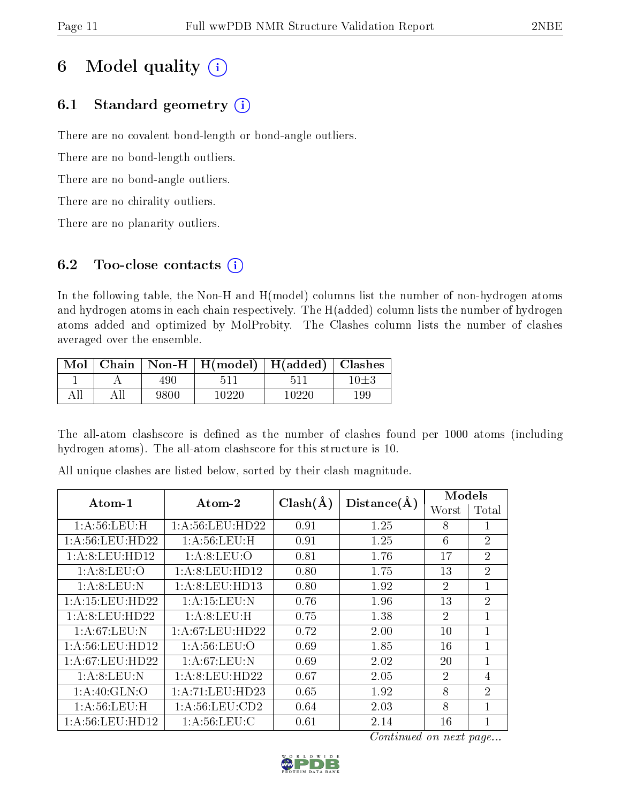## 6 Model quality  $(i)$

## 6.1 Standard geometry  $(i)$

There are no covalent bond-length or bond-angle outliers.

There are no bond-length outliers.

There are no bond-angle outliers.

There are no chirality outliers.

There are no planarity outliers.

## 6.2 Too-close contacts  $(i)$

In the following table, the Non-H and H(model) columns list the number of non-hydrogen atoms and hydrogen atoms in each chain respectively. The H(added) column lists the number of hydrogen atoms added and optimized by MolProbity. The Clashes column lists the number of clashes averaged over the ensemble.

| $\text{Mol}$ |      | Chain   Non-H   $H(model)$   $H(added)$   Clashes |       |            |
|--------------|------|---------------------------------------------------|-------|------------|
|              | 490  |                                                   |       | $10{\pm}3$ |
|              | 9800 | 10220                                             | 10220 | 199        |

The all-atom clashscore is defined as the number of clashes found per 1000 atoms (including hydrogen atoms). The all-atom clashscore for this structure is 10.

| $Atom-1$            | $\boldsymbol{\mathrm{Atom}\text{-}2}$ | $Clash(\AA)$ | Distance(A) | Models         |                |  |
|---------------------|---------------------------------------|--------------|-------------|----------------|----------------|--|
|                     |                                       |              |             | Worst          | Total          |  |
| 1: A:56:LEU:H       | 1: A:56: LEU: HD22                    | 0.91         | 1.25        | 8              | 1              |  |
| 1: A:56:LEU:HD22    | 1: A:56:LEU:H                         | 0.91         | 1.25        | 6              | $\overline{2}$ |  |
| 1: A:8: LEU: HD12   | 1: A:8: LEU:O                         | 0.81         | 1.76        | 17             | $\overline{2}$ |  |
| 1: A:8: LEU:O       | 1:A:8:LEU:HD12                        | 0.80         | 1.75        | 13             | $\overline{2}$ |  |
| 1: A:8:LEU:N        | 1:A:8:LEU:HD13                        | 0.80         | 1.92        | $\overline{2}$ | $\mathbf{1}$   |  |
| 1: A: 15: LEU: HD22 | 1:A:15:LEU:N                          | 0.76         | 1.96        | 13             | $\overline{2}$ |  |
| 1:A:8:LEU:HD22      | 1: A:8: LEU:H                         | 0.75         | 1.38        | $\mathcal{D}$  | 1              |  |
| 1: A:67:LEU:N       | 1: A:67:LEU:HD22                      | 0.72         | 2.00        | $10\,$         | $\mathbf{1}$   |  |
| 1: A:56:LEU:HD12    | 1: A:56: LEU:O                        | 0.69         | 1.85        | 16             | $\mathbf{1}$   |  |
| 1: A:67:LEU:HD22    | 1:A:67:LEU:N                          | 0.69         | 2.02        | 20             | 1              |  |
| 1: A:8: LEU: N      | 1:A:8:LEU:HD22                        | 0.67         | 2.05        | $\overline{2}$ | 4              |  |
| 1: A:40: GLN:O      | 1: A:71:LEU:HD23                      | 0.65         | 1.92        | 8              | $\overline{2}$ |  |
| 1: A:56:LEU:H       | 1: A:56:LEU:CD2                       | 0.64         | 2.03        | 8              | 1              |  |
| 1: A:56: LEU: HD12  | 1: A:56:LEU: C                        | 0.61         | 2.14        | 16             | $\mathbf{1}$   |  |

All unique clashes are listed below, sorted by their clash magnitude.

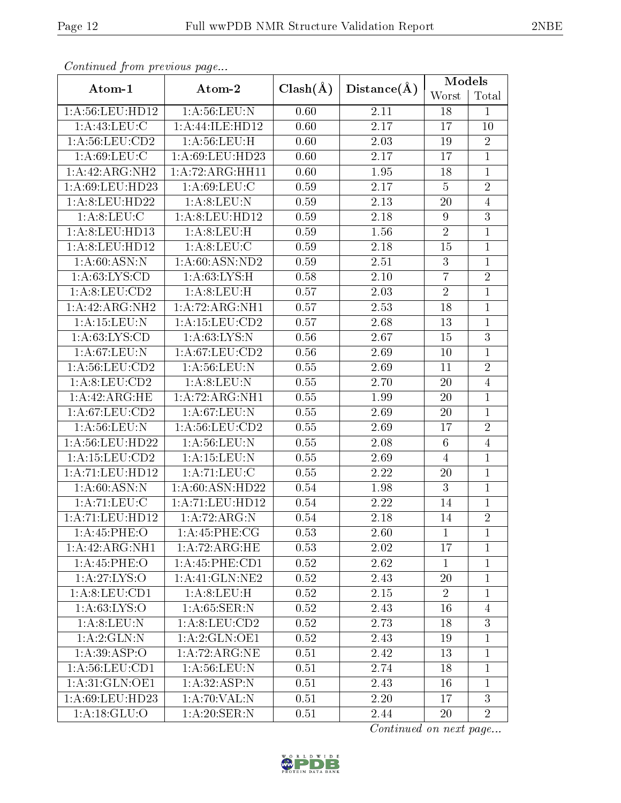| Continuea from previous page         |                             |              |                   | <b>Models</b>   |                |
|--------------------------------------|-----------------------------|--------------|-------------------|-----------------|----------------|
| Atom-1                               | Atom-2                      | $Clash(\AA)$ | Distance(A)       | Worst           | Total          |
| 1: A:56: LEU: HD12                   | 1: A:56:LEU: N              | 0.60         | 2.11              | 18              | 1              |
| 1:A:43:LEU:C                         | 1:A:44:ILE:HD12             | 0.60         | 2.17              | 17              | 10             |
| 1: A:56:LEU:CD2                      | 1: A:56:LEU:H               | 0.60         | 2.03              | 19              | $\overline{2}$ |
| 1: A:69:LEU:C                        | 1:A:69:LEU:HD23             | 0.60         | $\overline{2.17}$ | 17              | $\mathbf{1}$   |
| 1:A:42:ARG:NH2                       | 1: A:72: ARG: HH11          | 0.60         | 1.95              | 18              | $\mathbf{1}$   |
| 1:A:69:LEU:HD23                      | 1: A:69:LEU:C               | 0.59         | $\overline{2.17}$ | $\overline{5}$  | $\overline{2}$ |
| 1:A:8:LEU:HD22                       | 1: A:8: LEU: N              | 0.59         | 2.13              | 20              | $\overline{4}$ |
| 1: A:8:LEU:C                         | 1:A:8:LEU:HD12              | 0.59         | 2.18              | $9\phantom{.}$  | $\overline{3}$ |
| 1:A:8:LEU:HD13                       | 1: A:8: LEU:H               | 0.59         | 1.56              | $\overline{2}$  | $\mathbf{1}$   |
| 1:A:8:LEU:HD12                       | 1: A:8: LEU: C              | 0.59         | 2.18              | 15              | $\mathbf{1}$   |
| 1: A:60: ASN: N                      | 1:A:60:ASN:ND2              | 0.59         | 2.51              | 3               | $\mathbf{1}$   |
| 1: A:63: LYS:CD                      | 1: A:63:LYS:H               | 0.58         | 2.10              | $\overline{7}$  | $\overline{2}$ |
| 1:A:8:LEU:CD2                        | 1: A:8: LEU:H               | 0.57         | 2.03              | $\overline{2}$  | $\mathbf{1}$   |
| $1:A:42:A\overline{\mathrm{RG:NH2}}$ | $1:A:72:ARG:\overline{NH1}$ | 0.57         | 2.53              | 18              | $\mathbf{1}$   |
| 1:A:15:LEU:N                         | $1:$ A:15:LEU: $CD2$        | 0.57         | 2.68              | 13              | $\mathbf{1}$   |
| 1: A:63:LYS:CD                       | 1: A:63:LYS:N               | 0.56         | 2.67              | 15              | $\overline{3}$ |
| 1: A:67:LEU: N                       | 1: A:67: LEU:CD2            | 0.56         | 2.69              | 10              | $\mathbf{1}$   |
| 1: A:56: LEU:CD2                     | 1: A:56:LEU: N              | 0.55         | 2.69              | 11              | $\overline{2}$ |
| 1:A:8:LEU:CD2                        | 1: A:8: LEU: N              | 0.55         | 2.70              | 20              | $\overline{4}$ |
| 1:A:42:ARG:HE                        | 1:A:72:ARG:NH1              | 0.55         | 1.99              | 20              | $\mathbf{1}$   |
| 1: A:67:LEU:CD2                      | 1: A:67:LEU: N              | 0.55         | 2.69              | 20              | $\mathbf{1}$   |
| 1: A:56:LEU: N                       | 1: A:56:LEU:CD2             | 0.55         | 2.69              | 17              | $\sqrt{2}$     |
| 1:A:56:LEU:HD22                      | 1: A:56:LEU: N              | 0.55         | 2.08              | $6\phantom{.}6$ | $\overline{4}$ |
| 1:A:15:LEU:CD2                       | 1:A:15:LEU:N                | 0.55         | 2.69              | $\overline{4}$  | $\mathbf{1}$   |
| 1:A:71:LEU:HD12                      | 1: A: 71: LEU: C            | 0.55         | 2.22              | 20              | $\mathbf{1}$   |
| 1: A:60: ASN: N                      | 1: A:60: ASN:HD22           | 0.54         | 1.98              | 3               | $\mathbf{1}$   |
| 1:A:71:LEU:C                         | 1:A:71:LEU:HD12             | 0.54         | 2.22              | 14              | $\mathbf{1}$   |
| 1:A:71:LEU:HD12                      | 1: A:72: ARG: N             | 0.54         | $2.18\,$          | 14              | $\overline{2}$ |
| 1:A:45:PHE:O                         | 1:A:45:PHE:CG               | 0.53         | 2.60              | $\mathbf{1}$    | $\mathbf{1}$   |
| 1: A: 42: ARG: NH1                   | 1:A:72:ARG:HE               | 0.53         | 2.02              | 17              | $\mathbf 1$    |
| 1: A:45:PHE:O                        | 1: A: 45: PHE: CD1          | 0.52         | 2.62              | $\mathbf{1}$    | $\mathbf{1}$   |
| 1: A:27: LYS:O                       | 1:A:41:GLN:NE2              | 0.52         | 2.43              | 20              | $\mathbf{1}$   |
| $1: A:8: LEU: \overline{CD1}$        | 1: A:8: LEU:H               | 0.52         | 2.15              | $\overline{2}$  | 1              |
| 1: A:63: LYS:O                       | 1: A:65:SER:N               | 0.52         | 2.43              | 16              | $\overline{4}$ |
| 1: A:8: LEU: N                       | 1: A:8: LEU:CD2             | 0.52         | 2.73              | 18              | 3              |
| 1:A:2:GLN:N                          | 1:A:2:GLN:OE1               | 0.52         | 2.43              | 19              | $\mathbf{1}$   |
| 1:A:39:ASP:O                         | 1:A:72:ARG:NE               | 0.51         | 2.42              | 13              | $\mathbf{1}$   |
| 1: A:56: LEU:CD1                     | 1: A:56: LEU: N             | 0.51         | 2.74              | 18              | $\mathbf{1}$   |
| 1:A:31:GLN:OE1                       | 1:A:32:ASP:N                | 0.51         | 2.43              | 16              | $\mathbf 1$    |
| 1:A:69:LEU:HD23                      | 1:A:70:VAL:N                | 0.51         | 2.20              | 17              | $\overline{3}$ |
| 1: A:18: GLU:O                       | 1:A:20:SER:N                | 0.51         | 2.44              | 20              | $\overline{2}$ |

Continued from previous page.

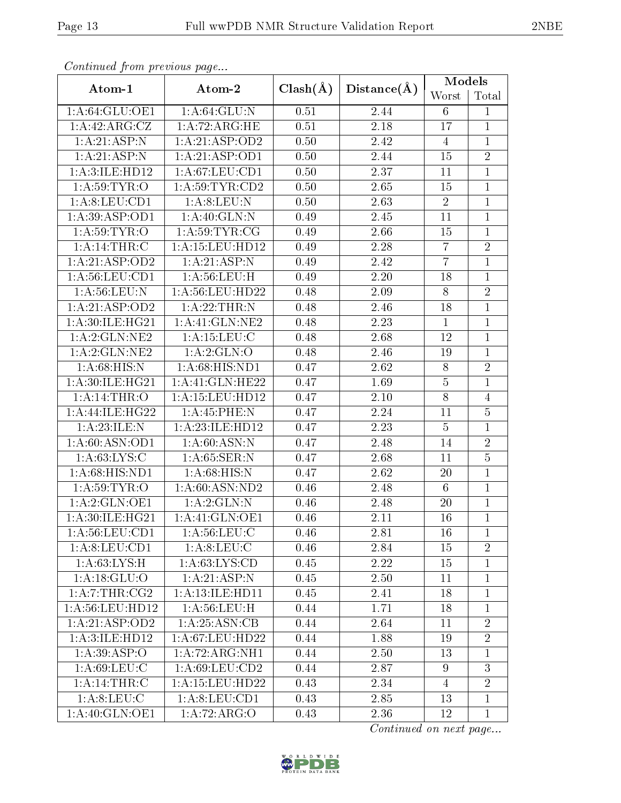| Continued from previous page |                     |              |             | <b>Models</b>   |                |
|------------------------------|---------------------|--------------|-------------|-----------------|----------------|
| Atom-1                       | Atom-2              | $Clash(\AA)$ | Distance(A) | Worst           | Total          |
| 1:A:64:GLU:OE1               | 1: A:64: GLU:N      | 0.51         | 2.44        | 6               | 1              |
| 1:A:42:ARG:CZ                | 1:A:72:ARG:HE       | 0.51         | 2.18        | 17              | $\mathbf{1}$   |
| 1: A:21:ASP: N               | 1: A:21: ASP:OD2    | 0.50         | 2.42        | $\overline{4}$  | $\mathbf{1}$   |
| 1:A:21:ASP:N                 | 1:A:21:ASP:OD1      | 0.50         | 2.44        | 15              | $\overline{2}$ |
| 1:A:3:ILE:HD12               | 1: A:67: LEU:CD1    | 0.50         | 2.37        | 11              | $\mathbf{1}$   |
| 1: A:59:TYR:O                | 1: A:59: TYR: CD2   | 0.50         | 2.65        | 15              | $\mathbf{1}$   |
| 1:A:8:LEU:CD1                | 1: A:8: LEU: N      | 0.50         | 2.63        | $\overline{2}$  | $\mathbf{1}$   |
| 1: A:39: ASP:OD1             | 1:A:40:GLN:N        | 0.49         | 2.45        | 11              | $\mathbf{1}$   |
| 1: A:59:TYR:O                | 1: A:59:TYR:CG      | 0.49         | 2.66        | 15              | $\mathbf{1}$   |
| 1: A:14:THR:C                | 1: A: 15: LEU: HD12 | 0.49         | 2.28        | $\overline{7}$  | $\overline{2}$ |
| 1:A:21:ASP:OD2               | 1: A:21:ASP: N      | 0.49         | 2.42        | $\overline{7}$  | $\mathbf{1}$   |
| 1: A:56:LEU:CD1              | 1: A:56:LEU:H       | 0.49         | 2.20        | 18              | $\mathbf{1}$   |
| 1: A:56:LEU:N                | 1: A:56: LEU: HD22  | 0.48         | 2.09        | 8               | $\overline{2}$ |
| 1:A:21:ASP:OD2               | 1:A:22:THR:N        | 0.48         | 2.46        | 18              | $\mathbf{1}$   |
| 1:A:30:ILE:HG21              | 1:A:41:GLN:NE2      | 0.48         | 2.23        | $\mathbf{1}$    | $\mathbf{1}$   |
| 1:A:2:GLN:NE2                | 1: A: 15: LEU: C    | 0.48         | 2.68        | 12              | $\mathbf{1}$   |
| 1:A:2:GLN:NE2                | 1: A:2: GLN:O       | 0.48         | 2.46        | 19              | $\mathbf{1}$   |
| 1: A:68: HIS:N               | 1:A:68:HIS:ND1      | 0.47         | 2.62        | 8               | $\overline{2}$ |
| 1:A:30:ILE:HG21              | 1:A:41:GLN:HE22     | 0.47         | 1.69        | $\bf 5$         | $\mathbf{1}$   |
| 1: A:14:THR:O                | 1: A: 15: LEU: HD12 | 0.47         | 2.10        | $8\,$           | $\overline{4}$ |
| 1: A:44: ILE: HG22           | 1: A:45:PHE:N       | 0.47         | 2.24        | 11              | $\overline{5}$ |
| 1:A:23:ILE:N                 | 1:A:23:ILE:HDI2     | 0.47         | 2.23        | $\overline{5}$  | $\mathbf{1}$   |
| 1: A:60: ASN:OD1             | 1: A:60: ASN: N     | 0.47         | 2.48        | 14              | $\overline{2}$ |
| 1: A:63:LYS:C                | 1: A:65:SER:N       | 0.47         | 2.68        | 11              | $\overline{5}$ |
| 1:A:68:HIS:ND1               | 1: A:68: HIS:N      | 0.47         | 2.62        | 20              | $\mathbf{1}$   |
| 1: A:59:TYR:O                | 1: A:60: ASN:ND2    | 0.46         | 2.48        | $6\phantom{.}6$ | $\mathbf{1}$   |
| 1:A:2:GLN:OE1                | 1:A:2:GLN:N         | 0.46         | 2.48        | 20              | $\mathbf{1}$   |
| 1: A:30: ILE: HG21           | 1: A:41: GLN:OE1    | 0.46         | 2.11        | 16              | $\overline{1}$ |
| 1: A:56: LEU:CD1             | 1: A:56:LEU: C      | 0.46         | 2.81        | 16              | $\mathbf{1}$   |
| 1:A:8:LEU:CD1                | 1: A:8: LEU: C      | 0.46         | 2.84        | 15              | $\overline{2}$ |
| 1: A:63:LYS:H                | 1: A:63: LYS:CD     | 0.45         | 2.22        | 15              | $\mathbf{1}$   |
| 1: A:18: GLU:O               | 1:A:21:ASP:N        | 0.45         | 2.50        | 11              | $\mathbf{1}$   |
| 1:A:7:THR:CG2                | 1: A:13: ILE: HD11  | 0.45         | 2.41        | 18              | $\mathbf{1}$   |
| 1: A:56:LEU:HD12             | 1: A:56:LEU:H       | 0.44         | 1.71        | 18              | $\mathbf{1}$   |
| 1:A:21:ASP:OD2               | 1:A:25:ASN:CB       | 0.44         | 2.64        | 11              | $\overline{2}$ |
| 1:A:3:ILE:HD12               | 1: A:67: LEU:HD22   | 0.44         | 1.88        | 19              | $\overline{2}$ |
| 1: A:39: ASP:O               | 1:A:72:ARG:NH1      | 0.44         | 2.50        | 13              | $\mathbf{1}$   |
| 1: A:69:LEU: C               | 1:A:69:LEU:CD2      | 0.44         | 2.87        | 9               | $\mathfrak{Z}$ |
| 1: A:14:THR:C                | 1: A: 15: LEU: HD22 | 0.43         | 2.34        | 4               | $\overline{2}$ |
| 1: A:8: LEU: C               | 1: A:8: LEU: CD1    | 0.43         | 2.85        | 13              | $\mathbf{1}$   |
| 1:A:40:GLN:OE1               | 1:A:72:ARG:O        | 0.43         | 2.36        | 12              | $\mathbf{1}$   |

Continued from previous page.

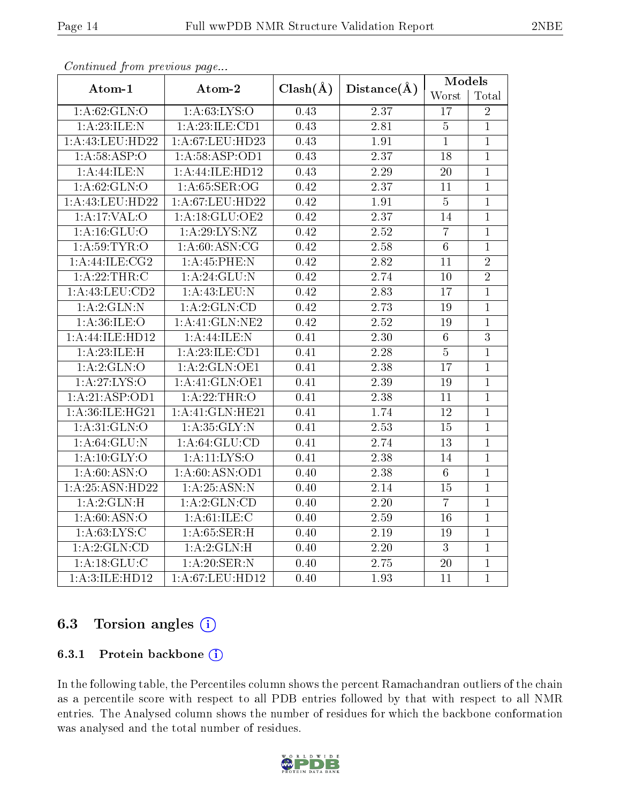|                      | Atom-2             |                   |                   | <b>Models</b>   |                |
|----------------------|--------------------|-------------------|-------------------|-----------------|----------------|
| Atom-1               |                    | $Clash(\AA)$      | Distance(A)       | Worst           | Total          |
| 1: A:62: GLN:O       | 1: A:63: LYS:O     | 0.43              | 2.37              | 17              | $\overline{2}$ |
| 1:A:23:ILE:N         | 1:A:23:ILE:CD1     | 0.43              | 2.81              | $\overline{5}$  | $\overline{1}$ |
| 1:A:43:LEU:HD22      | 1:A:67:LEU:HD23    | 0.43              | 1.91              | $\overline{1}$  | $\overline{1}$ |
| 1: A:58: ASP:O       | 1: A:58: ASP:OD1   | 0.43              | 2.37              | 18              | $\overline{1}$ |
| 1: A:44: ILE:N       | 1:A:44:ILE:HD12    | 0.43              | 2.29              | $20\,$          | $\mathbf{1}$   |
| 1: A:62: GLN:O       | 1: A:65: SER:OG    | $\overline{0.42}$ | $\overline{2.37}$ | 11              | $\overline{1}$ |
| 1:A:43:LEU:HD22      | 1:A:67:LEU:HD22    | 0.42              | 1.91              | $\overline{5}$  | $\overline{1}$ |
| 1:A:17:VAL:O         | 1: A:18: GLU:OE2   | 0.42              | 2.37              | 14              | $\mathbf{1}$   |
| 1: A: 16: GLU:O      | 1: A:29: LYS: NZ   | 0.42              | 2.52              | $\overline{7}$  | $\overline{1}$ |
| 1: A:59:TYR:O        | 1: A:60: ASN: CG   | 0.42              | 2.58              | $\,6\,$         | $\mathbf{1}$   |
| 1: A:44: ILE: CG2    | 1:A:45:PHE:N       | 0.42              | $\overline{2.82}$ | 11              | $\overline{2}$ |
| 1: A:22:THR:C        | 1:A:24:GLU:N       | 0.42              | 2.74              | 10              | $\overline{2}$ |
| $1:$ A:43:LEU: $CD2$ | 1:A:43:LEU:N       | 0.42              | $\overline{2.83}$ | 17              | $\mathbf{1}$   |
| 1:A:2:GLN:N          | 1:A:2:GLN:CD       | 0.42              | 2.73              | 19              | $\overline{1}$ |
| 1: A:36: ILE: O      | 1: A: 41: GLN: NE2 | 0.42              | $\overline{2.52}$ | 19              | $\mathbf{1}$   |
| 1:A:44:ILE:HD12      | 1:A:44:ILE:N       | 0.41              | $\overline{2.30}$ | $\,6\,$         | $\overline{3}$ |
| 1:A:23:ILE:H         | 1:A:23:ILE:CD1     | 0.41              | $\overline{2.28}$ | $\overline{5}$  | $\overline{1}$ |
| 1:A:2:GLN:O          | 1: A:2: GLN:OE1    | 0.41              | $\overline{2.38}$ | $\overline{17}$ | $\overline{1}$ |
| 1: A:27: LYS:O       | 1:A:41:GLN:OE1     | 0.41              | 2.39              | 19              | $\mathbf{1}$   |
| 1:A:21:ASP:OD1       | 1:A:22:THR:O       | 0.41              | $\overline{2.38}$ | 11              | $\mathbf{1}$   |
| 1: A:36: ILE: HG21   | 1:A:41:GLN:HE21    | 0.41              | 1.74              | 12              | $\mathbf{1}$   |
| 1: A:31: GLN:O       | 1: A:35: GLY:N     | 0.41              | $\overline{2.53}$ | 15              | $\overline{1}$ |
| 1: A:64:GLU:N        | 1: A:64: GLU:CD    | 0.41              | 2.74              | 13              | $\mathbf{1}$   |
| 1: A:10: GLY:O       | $1:$ A:11:LYS:O    | 0.41              | $\overline{2.38}$ | 14              | $\overline{1}$ |
| 1: A:60: ASN:O       | 1:A:60:ASN:OD1     | 0.40              | 2.38              | $\sqrt{6}$      | $\mathbf{1}$   |
| 1:A:25:ASN:HD22      | 1: A: 25: ASN: N   | 0.40              | 2.14              | $15\,$          | $\overline{1}$ |
| 1: A:2: GLN:H        | 1:A:2:GLN:CD       | 0.40              | $\overline{2.20}$ | $\overline{7}$  | $\overline{1}$ |
| 1: A:60: ASN:O       | 1: A:61:ILE:C      | 0.40              | $\overline{2.59}$ | 16              | $\overline{1}$ |
| 1: A:63: LYS: C      | 1: A:65:SER:H      | 0.40              | 2.19              | 19              | $\mathbf{1}$   |
| 1:A:2:GLN:CD         | 1:A:2:GLN:H        | 0.40              | 2.20              | $\mathbf{3}$    | $\overline{1}$ |
| 1: A:18: GLU:C       | 1:A:20:SER:N       | 0.40              | 2.75              | 20              | $\mathbf{1}$   |
| 1:A:3:ILE:HD12       | 1: A:67:LEU:HD12   | 0.40              | 1.93              | 11              | $\mathbf{1}$   |

Continued from previous page...

### 6.3 Torsion angles (i)

#### 6.3.1 Protein backbone (i)

In the following table, the Percentiles column shows the percent Ramachandran outliers of the chain as a percentile score with respect to all PDB entries followed by that with respect to all NMR entries. The Analysed column shows the number of residues for which the backbone conformation was analysed and the total number of residues.

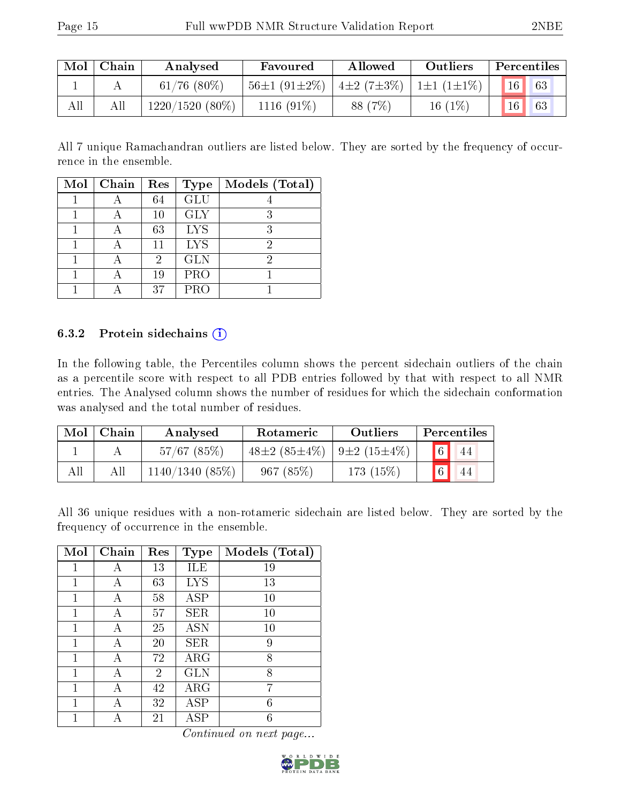| Mol | Chain | Analysed          | Favoured           | Allowed                           | Outliers  | Percentiles |
|-----|-------|-------------------|--------------------|-----------------------------------|-----------|-------------|
|     |       | $61/76$ $(80\%)$  | $56\pm1(91\pm2\%)$ | $\pm 2(7\pm3\%)$ $\pm 1(1\pm1\%)$ |           | 16  <br>63  |
| All |       | $1220/1520(80\%)$ | $1116(91\%)$       | 88 (7\%)                          | 16 $(1%)$ | 16<br>63    |

All 7 unique Ramachandran outliers are listed below. They are sorted by the frequency of occurrence in the ensemble.

| Mol | Chain | Res | <b>Type</b> | Models (Total) |
|-----|-------|-----|-------------|----------------|
|     |       | 64  | <b>GLU</b>  |                |
|     |       | 10  | <b>GLY</b>  | 3              |
|     |       | 63  | <b>LYS</b>  | 3              |
|     |       | 11  | <b>LYS</b>  | 2              |
|     |       | 2   | <b>GLN</b>  | 2              |
|     |       | 19  | <b>PRO</b>  |                |
|     |       | 37  | PRO         |                |

#### 6.3.2 Protein sidechains (i)

In the following table, the Percentiles column shows the percent sidechain outliers of the chain as a percentile score with respect to all PDB entries followed by that with respect to all NMR entries. The Analysed column shows the number of residues for which the sidechain conformation was analysed and the total number of residues.

| Mol | Chain | Analysed       | Rotameric          | <b>Outliers</b>   |             | Percentiles |
|-----|-------|----------------|--------------------|-------------------|-------------|-------------|
|     |       | $57/67$ (85%)  | $48\pm2(85\pm4\%)$ | $9\pm2(15\pm4\%)$ | $\sqrt{6}$  | 44          |
| All | All   | 1140/1340(85%) | 967(85%)           | $173(15\%)$       | $\boxed{6}$ | 44          |

All 36 unique residues with a non-rotameric sidechain are listed below. They are sorted by the frequency of occurrence in the ensemble.

| Mol | Chain | Res            | <b>Type</b> | Models (Total) |
|-----|-------|----------------|-------------|----------------|
| 1   | А     | 13             | ILE         | 19             |
| 1   | А     | 63             | <b>LYS</b>  | 13             |
| 1   | А     | 58             | <b>ASP</b>  | $10\,$         |
| 1   | А     | 57             | <b>SER</b>  | $10\,$         |
| 1   | А     | 25             | <b>ASN</b>  | 10             |
| 1   |       | 20             | <b>SER</b>  | 9              |
| 1   | А     | 72             | $\rm{ARG}$  | 8              |
| 1   | А     | $\overline{2}$ | <b>GLN</b>  | 8              |
| 1   | А     | 42             | $\rm{ARG}$  | 7              |
| 1   | А     | 32             | ASP         | 6              |
|     |       | 21             | ASP         | 6              |

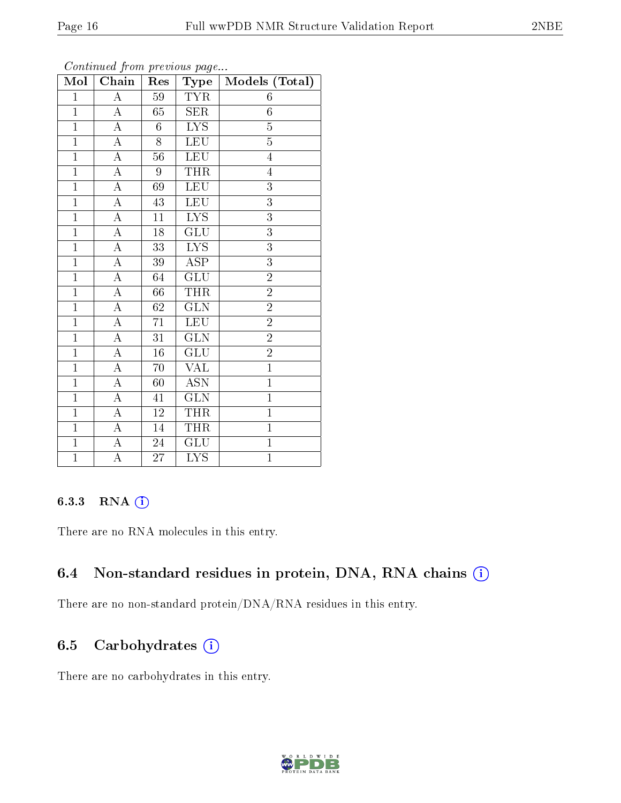| Mol            | Chain              | Res             | Type                    | Models (Total) |
|----------------|--------------------|-----------------|-------------------------|----------------|
| $\overline{1}$ | $\overline{\rm A}$ | 59              | <b>TYR</b>              | 6              |
| $\overline{1}$ | $\boldsymbol{A}$   | 65              | <b>SER</b>              | $\overline{6}$ |
| $\overline{1}$ | $\overline{A}$     | $\sqrt{6}$      | $\overline{\text{LYS}}$ | $\overline{5}$ |
| $\overline{1}$ | А                  | 8               | <b>LEU</b>              | $\overline{5}$ |
| $\overline{1}$ | A                  | 56              | <b>LEU</b>              | $\overline{4}$ |
| $\mathbf{1}$   | А                  | 9               | <b>THR</b>              | $\overline{4}$ |
| $\mathbf{1}$   | $\boldsymbol{A}$   | 69              | <b>LEU</b>              | 3              |
| $\overline{1}$ | A                  | 43              | <b>LEU</b>              | 3              |
| $\mathbf{1}$   | A                  | 11              | ${\rm LYS}$             | 3              |
| $\overline{1}$ | $\overline{\rm A}$ | $18\,$          | $\overline{\text{GLU}}$ | $\overline{3}$ |
| $\mathbf{1}$   | $\boldsymbol{A}$   | 33              | $L\overline{YS}$        | $\overline{3}$ |
| $\overline{1}$ | $\overline{\rm A}$ | 39              | $\overline{\rm ASP}$    | $\overline{3}$ |
| $\overline{1}$ | А                  | 64              | GLU                     | $\overline{2}$ |
| $\mathbf{1}$   | $\boldsymbol{A}$   | 66              | <b>THR</b>              | $\overline{2}$ |
| $\overline{1}$ | $\overline{\rm A}$ | $\overline{62}$ | $\overline{\text{GLN}}$ | $\overline{2}$ |
| $\mathbf{1}$   | A                  | 71              | <b>LEU</b>              | $\overline{2}$ |
| $\overline{1}$ | $\overline{\rm A}$ | 31              | $\overline{\text{GLN}}$ | $\overline{2}$ |
| $\mathbf{1}$   | A                  | $16\,$          | $GL\overline{U}$        | $\overline{2}$ |
| $\overline{1}$ | $\overline{\rm A}$ | 70              | <b>VAL</b>              | $\overline{1}$ |
| $\overline{1}$ | $\overline{\rm A}$ | 60              | $\overline{ASN}$        | $\overline{1}$ |
| $\mathbf{1}$   | $\boldsymbol{A}$   | 41              | <b>GLN</b>              | $\mathbf{1}$   |
| $\mathbf{1}$   | A                  | 12              | <b>THR</b>              | $\mathbf{1}$   |
| $\mathbf{1}$   | A                  | $14\,$          | THR                     | $\mathbf{1}$   |
| $\mathbf{1}$   | A                  | 24              | $\overline{{\rm GLU}}$  | $\mathbf{1}$   |
| $\overline{1}$ | $\overline{\rm A}$ | 27              | $\overline{\text{LYS}}$ | $\overline{1}$ |

Continued from previous page...

#### 6.3.3 RNA [O](https://www.wwpdb.org/validation/2017/NMRValidationReportHelp#rna)i

There are no RNA molecules in this entry.

### 6.4 Non-standard residues in protein, DNA, RNA chains (i)

There are no non-standard protein/DNA/RNA residues in this entry.

### 6.5 Carbohydrates  $(i)$

There are no carbohydrates in this entry.

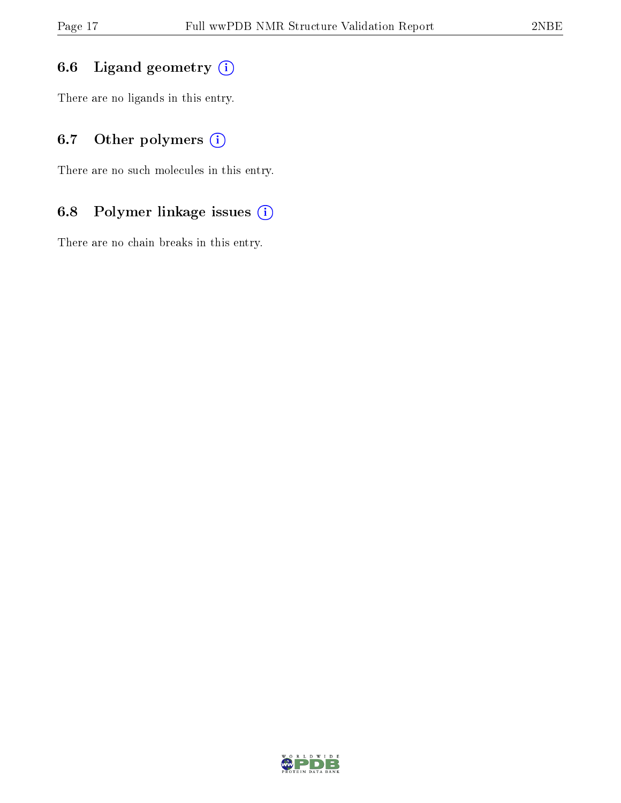## 6.6 Ligand geometry  $(i)$

There are no ligands in this entry.

## 6.7 [O](https://www.wwpdb.org/validation/2017/NMRValidationReportHelp#nonstandard_residues_and_ligands)ther polymers (i)

There are no such molecules in this entry.

## 6.8 Polymer linkage issues (i)

There are no chain breaks in this entry.

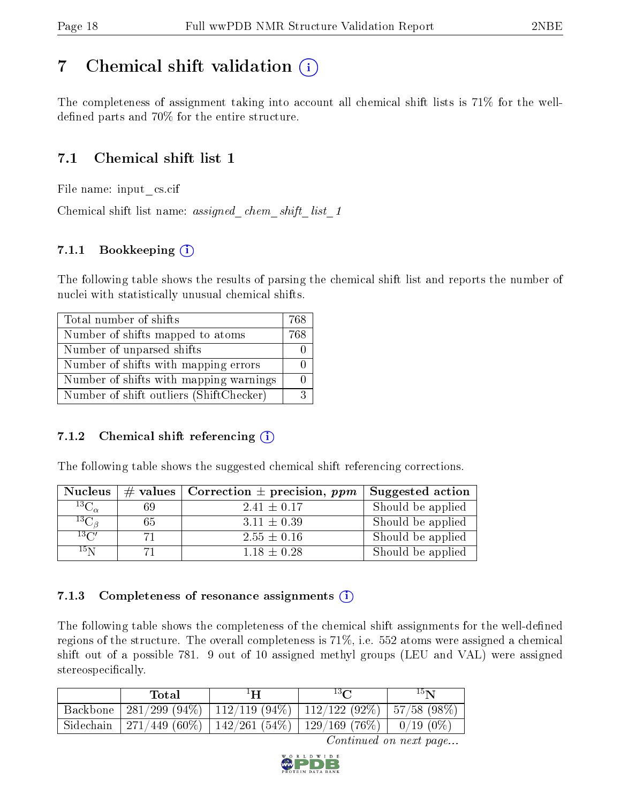## <span id="page-17-0"></span>7 Chemical shift validation  $\left( \begin{array}{c} \overline{1} \end{array} \right)$

The completeness of assignment taking into account all chemical shift lists is 71% for the welldefined parts and  $70\%$  for the entire structure.

## 7.1 Chemical shift list 1

File name: input\_cs.cif

Chemical shift list name: *assigned\_chem\_shift\_list\_1* 

### 7.1.1 Bookkeeping (i)

The following table shows the results of parsing the chemical shift list and reports the number of nuclei with statistically unusual chemical shifts.

| Total number of shifts                  | 768 |
|-----------------------------------------|-----|
| Number of shifts mapped to atoms        | 768 |
| Number of unparsed shifts               |     |
| Number of shifts with mapping errors    |     |
| Number of shifts with mapping warnings  |     |
| Number of shift outliers (ShiftChecker) |     |

#### 7.1.2 Chemical shift referencing  $(i)$

The following table shows the suggested chemical shift referencing corrections.

| <b>Nucleus</b>      |    | # values   Correction $\pm$ precision, ppm | Suggested action  |
|---------------------|----|--------------------------------------------|-------------------|
| ${}^{13}C_{\alpha}$ | 69 | $2.41 \pm 0.17$                            | Should be applied |
| ${}^{13}C_{\beta}$  | 65 | $3.11 \pm 0.39$                            | Should be applied |
| $13\text{C}$        | 71 | $2.55 \pm 0.16$                            | Should be applied |
| 15 <sub>N</sub>     |    | $1.18 \pm 0.28$                            | Should be applied |

#### 7.1.3 Completeness of resonance assignments  $(i)$

The following table shows the completeness of the chemical shift assignments for the well-defined regions of the structure. The overall completeness is 71%, i.e. 552 atoms were assigned a chemical shift out of a possible 781. 9 out of 10 assigned methyl groups (LEU and VAL) were assigned stereospecifically.

| Total | $1\mathbf{H}$                                                          | $13\Omega$ | $15\mathrm{N}$ |
|-------|------------------------------------------------------------------------|------------|----------------|
|       | Backbone   281/299 (94%)   112/119 (94%)   112/122 (92%)   57/58 (98%) |            |                |
|       | Sidechain   271/449 (60%)   142/261 (54%)   129/169 (76%)   0/19 (0%)  |            |                |

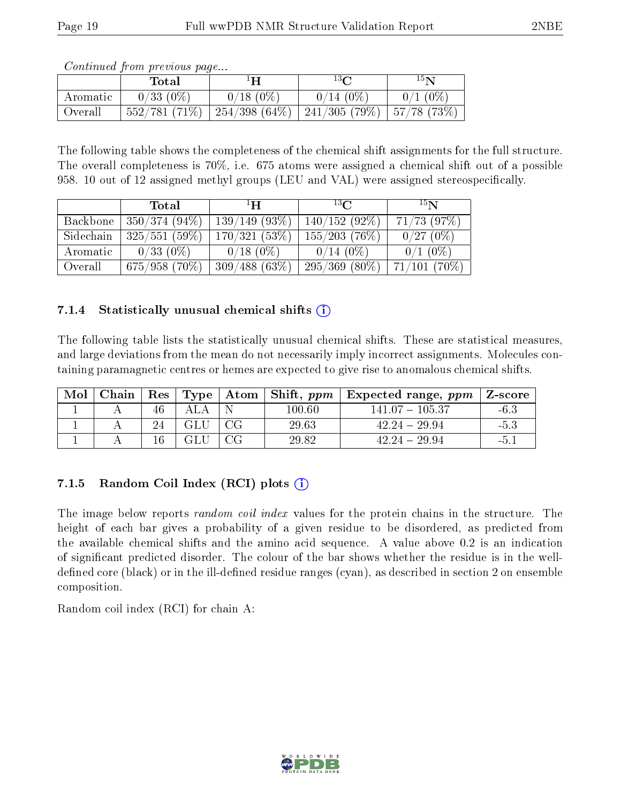| Continued from previous page |  |
|------------------------------|--|
|                              |  |

|          | Total        | ŀН              | $13\Omega$           | $15\mathbf{N}$ |
|----------|--------------|-----------------|----------------------|----------------|
| Aromatic | $0/33(0\%)$  | $0/18(0\%)$     | $0/14(0\%)$          | $0/1$ (0%)     |
| Overall  | 552/781(71%) | 254/398 $(64%)$ | $\mid$ 241/305 (79%) | 57/78(73%)     |

The following table shows the completeness of the chemical shift assignments for the full structure. The overall completeness is 70%, i.e. 675 atoms were assigned a chemical shift out of a possible 958. 10 out of 12 assigned methyl groups (LEU and VAL) were assigned stereospecifically.

|           | Total            | $^1$ H $^-$    | $^{13}C$         | 15 <sub>N</sub>  |
|-----------|------------------|----------------|------------------|------------------|
| Backbone  | $ 350/374(94\%)$ | 139/149(93%)   | $140/152(92\%)$  | $71/73$ $(97\%)$ |
| Sidechain | 325/551(59%)     | 170/321(53%)   | $155/203$ (76\%) | 0/27(0%)         |
| Aromatic  | $0/33(0\%)$      | $0/18$ $(0\%)$ | $0/14(0\%)$      | $0/1$ (0\%)      |
| Overall   | 675/958(70%)     | 309/488(63%)   | $295/369(80\%)$  | $71/101(70\%)$   |

#### 7.1.4 Statistically unusual chemical shifts  $(i)$

The following table lists the statistically unusual chemical shifts. These are statistical measures, and large deviations from the mean do not necessarily imply incorrect assignments. Molecules containing paramagnetic centres or hemes are expected to give rise to anomalous chemical shifts.

| Mol | Chain | $\operatorname{Res}$ |    | Type   Atom   Shift, $ppm$ | Expected range, $ppm$ | Z-score |
|-----|-------|----------------------|----|----------------------------|-----------------------|---------|
|     |       | 46                   |    | $100.60\,$                 | $141.07 - 105.37$     | $-6.3$  |
|     |       |                      |    | 29.63                      | $42.24 - 29.94$       | $-5.5$  |
|     |       | 16                   | CG | 29.82                      | $42.24 - 29.94$       |         |

### 7.1.5 Random Coil Index  $(RCI)$  plots  $(i)$

The image below reports *random coil index* values for the protein chains in the structure. The height of each bar gives a probability of a given residue to be disordered, as predicted from the available chemical shifts and the amino acid sequence. A value above 0.2 is an indication of signicant predicted disorder. The colour of the bar shows whether the residue is in the welldefined core (black) or in the ill-defined residue ranges (cyan), as described in section 2 on ensemble composition.

Random coil index (RCI) for chain A: